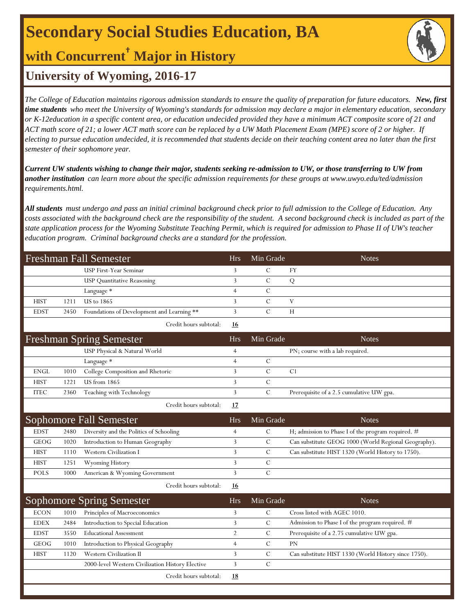## **Secondary Social Studies Education, BA**

### **with Concurrent† Major in History**

### **University of Wyoming, 2016-17**

*The College of Education maintains rigorous admission standards to ensure the quality of preparation for future educators. New, first time students who meet the University of Wyoming's standards for admission may declare a major in elementary education, secondary or K-12education in a specific content area, or education undecided provided they have a minimum ACT composite score of 21 and ACT math score of 21; a lower ACT math score can be replaced by a UW Math Placement Exam (MPE) score of 2 or higher. If electing to pursue education undecided, it is recommended that students decide on their teaching content area no later than the first semester of their sophomore year.*

*Current UW students wishing to change their major, students seeking re-admission to UW, or those transferring to UW from another institution can learn more about the specific admission requirements for these groups at www.uwyo.edu/ted/admission requirements.html.* 

*All students must undergo and pass an initial criminal background check prior to full admission to the College of Education. Any costs associated with the background check are the responsibility of the student. A second background check is included as part of the state application process for the Wyoming Substitute Teaching Permit, which is required for admission to Phase II of UW's teacher education program. Criminal background checks are a standard for the profession.*

|             |      | <b>Freshman Fall Semester</b>                    | <b>Hrs</b>     | Min Grade      | <b>Notes</b>                                         |
|-------------|------|--------------------------------------------------|----------------|----------------|------------------------------------------------------|
|             |      | USP First-Year Seminar                           | 3              | $\mathcal{C}$  | FY                                                   |
|             |      | <b>USP</b> Quantitative Reasoning                | 3              | $\mathcal{C}$  | Q                                                    |
|             |      | Language *                                       | $\overline{4}$ | $\mathcal{C}$  |                                                      |
| <b>HIST</b> | 1211 | <b>US</b> to 1865                                | 3              | $\mathcal{C}$  | V                                                    |
| <b>EDST</b> | 2450 | Foundations of Development and Learning **       | 3              | $\mathcal{C}$  | H                                                    |
|             |      | Credit hours subtotal:                           | 16             |                |                                                      |
|             |      | <b>Freshman Spring Semester</b>                  | <b>Hrs</b>     | Min Grade      | <b>Notes</b>                                         |
|             |      | USP Physical & Natural World                     | $\overline{4}$ |                | PN; course with a lab required.                      |
|             |      | Language *                                       | $\overline{4}$ | $\cal C$       |                                                      |
| <b>ENGL</b> | 1010 | College Composition and Rhetoric                 | 3              | $\overline{C}$ | C <sub>1</sub>                                       |
| <b>HIST</b> | 1221 | US from 1865                                     | 3              | $\mathcal{C}$  |                                                      |
| <b>ITEC</b> | 2360 | Teaching with Technology                         | 3              | $\mathcal{C}$  | Prerequisite of a 2.5 cumulative UW gpa.             |
|             |      | Credit hours subtotal:                           | 17             |                |                                                      |
|             |      | Sophomore Fall Semester                          | <b>Hrs</b>     | Min Grade      | <b>Notes</b>                                         |
| <b>EDST</b> | 2480 | Diversity and the Politics of Schooling          | $\overline{4}$ | C              | H; admission to Phase I of the program required. #   |
| GEOG        | 1020 | Introduction to Human Geography                  | 3              | $\mathcal{C}$  | Can substitute GEOG 1000 (World Regional Geography). |
| <b>HIST</b> | 1110 | <b>Western Civilization I</b>                    | 3              | $\mathcal{C}$  | Can substitute HIST 1320 (World History to 1750).    |
| <b>HIST</b> | 1251 | Wyoming History                                  | 3              | $\mathcal{C}$  |                                                      |
| <b>POLS</b> | 1000 | American & Wyoming Government                    | 3              | $\mathcal{C}$  |                                                      |
|             |      | Credit hours subtotal:                           | <u>16</u>      |                |                                                      |
|             |      | <b>Sophomore Spring Semester</b>                 | <b>Hrs</b>     | Min Grade      | <b>Notes</b>                                         |
| <b>ECON</b> | 1010 | Principles of Macroeconomics                     | 3              | C              | Cross listed with AGEC 1010.                         |
| <b>EDEX</b> | 2484 | Introduction to Special Education                | 3              | C              | Admission to Phase I of the program required. #      |
| <b>EDST</b> | 3550 | <b>Educational Assessment</b>                    | 2              | С              | Prerequisite of a 2.75 cumulative UW gpa.            |
| GEOG        | 1010 | Introduction to Physical Geography               | $\overline{4}$ | $\mathcal{C}$  | <b>PN</b>                                            |
| <b>HIST</b> | 1120 | <b>Western Civilization II</b>                   | 3              | $\mathcal{C}$  | Can substitute HIST 1330 (World History since 1750). |
|             |      | 2000-level Western Civilization History Elective | 3              | $\mathcal{C}$  |                                                      |
|             |      | Credit hours subtotal:                           | <b>18</b>      |                |                                                      |
|             |      |                                                  |                |                |                                                      |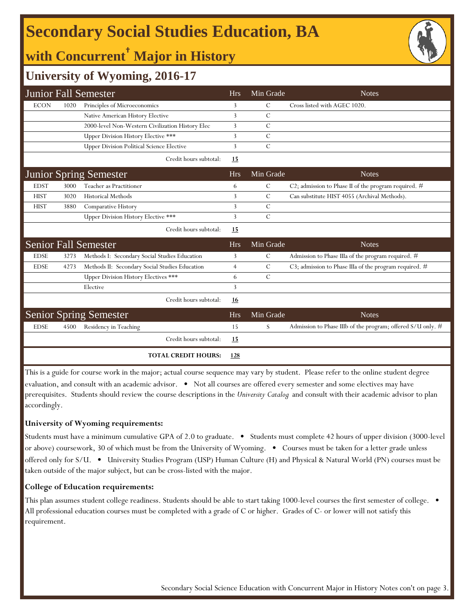## **Secondary Social Studies Education, BA**

### **with Concurrent† Major in History**



### **University of Wyoming, 2016-17**

|             |      | <b>Junior Fall Semester</b>                      | <b>Hrs</b>     | Min Grade     | <b>Notes</b>                                                  |
|-------------|------|--------------------------------------------------|----------------|---------------|---------------------------------------------------------------|
| <b>ECON</b> | 1020 | Principles of Microeconomics                     | 3              | С             | Cross listed with AGEC 1020.                                  |
|             |      | Native American History Elective                 | 3              | $\mathcal{C}$ |                                                               |
|             |      | 2000-level Non-Western Civilization History Elec | 3              | $\mathcal{C}$ |                                                               |
|             |      | Upper Division History Elective ***              | 3              | $\mathcal{C}$ |                                                               |
|             |      | <b>Upper Division Political Science Elective</b> | 3              | $\mathcal{C}$ |                                                               |
|             |      | Credit hours subtotal:                           | <u>15</u>      |               |                                                               |
|             |      | <b>Junior Spring Semester</b>                    | <b>Hrs</b>     | Min Grade     | <b>Notes</b>                                                  |
| <b>EDST</b> | 3000 | Teacher as Practitioner                          | 6              | $\mathcal{C}$ | C2; admission to Phase II of the program required. #          |
| <b>HIST</b> | 3020 | <b>Historical Methods</b>                        | 3              | $\mathcal{C}$ | Can substitute HIST 4055 (Archival Methods).                  |
| <b>HIST</b> | 3880 | Comparative History                              | 3              | $\mathcal{C}$ |                                                               |
|             |      | Upper Division History Elective ***              | 3              | $\mathcal{C}$ |                                                               |
|             |      | Credit hours subtotal:                           | <u>15</u>      |               |                                                               |
|             |      | <b>Senior Fall Semester</b>                      | <b>Hrs</b>     | Min Grade     | <b>Notes</b>                                                  |
| <b>EDSE</b> | 3273 | Methods I: Secondary Social Studies Education    | 3              | $\mathcal{C}$ | Admission to Phase IIIa of the program required. #            |
| <b>EDSE</b> | 4273 | Methods II: Secondary Social Studies Education   | $\overline{4}$ | $\mathcal{C}$ | C3; admission to Phase IIIa of the program required. #        |
|             |      | Upper Division History Electives ***             | 6              | $\mathcal{C}$ |                                                               |
|             |      | Elective                                         | 3              |               |                                                               |
|             |      | Credit hours subtotal:                           | <u>16</u>      |               |                                                               |
|             |      | <b>Senior Spring Semester</b>                    | <b>Hrs</b>     | Min Grade     | <b>Notes</b>                                                  |
| <b>EDSE</b> | 4500 | Residency in Teaching                            | 15             | S             | Admission to Phase IIIb of the program; offered $S/U$ only. # |
|             |      | Credit hours subtotal:                           | 15             |               |                                                               |
|             |      | <b>TOTAL CREDIT HOURS:</b>                       | 128            |               |                                                               |

This is a guide for course work in the major; actual course sequence may vary by student. Please refer to the online student degree evaluation, and consult with an academic advisor. • Not all courses are offered every semester and some electives may have prerequisites. Students should review the course descriptions in the *University Catalog* and consult with their academic advisor to plan accordingly.

#### **University of Wyoming requirements:**

Students must have a minimum cumulative GPA of 2.0 to graduate. • Students must complete 42 hours of upper division (3000-level or above) coursework, 30 of which must be from the University of Wyoming. • Courses must be taken for a letter grade unless offered only for S/U. • University Studies Program (USP) Human Culture (H) and Physical & Natural World (PN) courses must be taken outside of the major subject, but can be cross-listed with the major.

### **College of Education requirements:**

This plan assumes student college readiness. Students should be able to start taking 1000-level courses the first semester of college. • All professional education courses must be completed with a grade of C or higher. Grades of C- or lower will not satisfy this requirement.